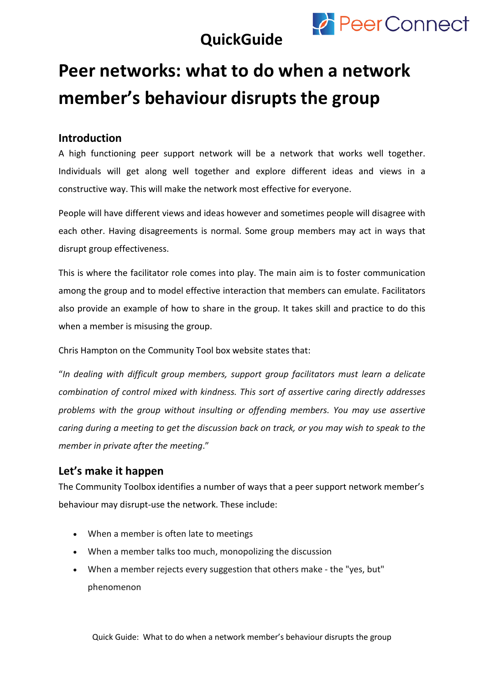

### **QuickGuide**

# **Peer networks: what to do when a network member's behaviour disrupts the group**

#### **Introduction**

A high functioning peer support network will be a network that works well together. Individuals will get along well together and explore different ideas and views in a constructive way. This will make the network most effective for everyone.

People will have different views and ideas however and sometimes people will disagree with each other. Having disagreements is normal. Some group members may act in ways that disrupt group effectiveness.

This is where the facilitator role comes into play. The main aim is to foster communication among the group and to model effective interaction that members can emulate. Facilitators also provide an example of how to share in the group. It takes skill and practice to do this when a member is misusing the group.

Chris Hampton on the Community Tool box website states that:

"*In dealing with difficult group members, support group facilitators must learn a delicate combination of control mixed with kindness. This sort of assertive caring directly addresses problems with the group without insulting or offending members. You may use assertive caring during a meeting to get the discussion back on track, or you may wish to speak to the member in private after the meeting*."

#### **Let's make it happen**

The Community Toolbox identifies a number of ways that a peer support network member's behaviour may disrupt-use the network. These include:

- When a member is often late to meetings
- When a member talks too much, monopolizing the discussion
- When a member rejects every suggestion that others make the "yes, but" phenomenon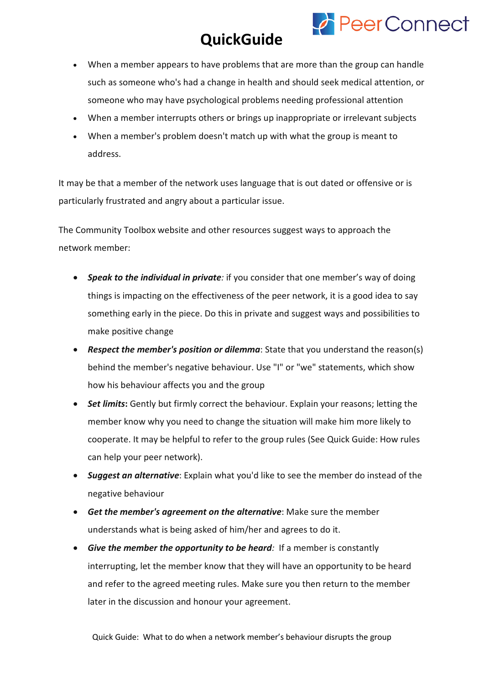# **QuickGuide**

**PeerConnect** 

- When a member appears to have problems that are more than the group can handle such as someone who's had a change in health and should seek medical attention, or someone who may have psychological problems needing professional attention
- When a member interrupts others or brings up inappropriate or irrelevant subjects
- When a member's problem doesn't match up with what the group is meant to address.

It may be that a member of the network uses language that is out dated or offensive or is particularly frustrated and angry about a particular issue.

The Community Toolbox website and other resources suggest ways to approach the network member:

- **Speak to the individual in private**: if you consider that one member's way of doing things is impacting on the effectiveness of the peer network, it is a good idea to say something early in the piece. Do this in private and suggest ways and possibilities to make positive change
- *Respect the member's position or dilemma*: State that you understand the reason(s) behind the member's negative behaviour. Use "I" or "we" statements, which show how his behaviour affects you and the group
- *Set limits***:** Gently but firmly correct the behaviour. Explain your reasons; letting the member know why you need to change the situation will make him more likely to cooperate. It may be helpful to refer to the group rules (See Quick Guide: How rules can help your peer network).
- *Suggest an alternative*: Explain what you'd like to see the member do instead of the negative behaviour
- *Get the member's agreement on the alternative*: Make sure the member understands what is being asked of him/her and agrees to do it.
- *Give the member the opportunity to be heard:* If a member is constantly interrupting, let the member know that they will have an opportunity to be heard and refer to the agreed meeting rules. Make sure you then return to the member later in the discussion and honour your agreement.